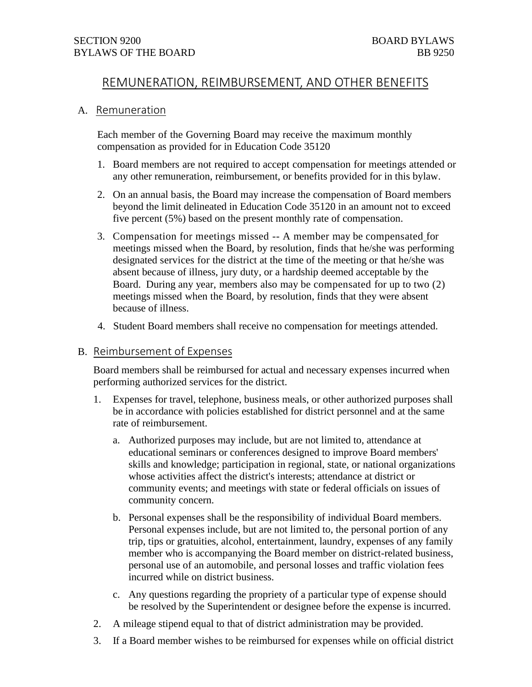# REMUNERATION, REIMBURSEMENT, AND OTHER BENEFITS

## A. Remuneration

Each member of the Governing Board may receive the maximum monthly compensation as provided for in Education Code 35120

- 1. Board members are not required to accept compensation for meetings attended or any other remuneration, reimbursement, or benefits provided for in this bylaw.
- 2. On an annual basis, the Board may increase the compensation of Board members beyond the limit delineated in Education Code 35120 in an amount not to exceed five percent (5%) based on the present monthly rate of compensation.
- 3. Compensation for meetings missed -- A member may be compensated for meetings missed when the Board, by resolution, finds that he/she was performing designated services for the district at the time of the meeting or that he/she was absent because of illness, jury duty, or a hardship deemed acceptable by the Board. During any year, members also may be compensated for up to two (2) meetings missed when the Board, by resolution, finds that they were absent because of illness.
- 4. Student Board members shall receive no compensation for meetings attended.

# B. Reimbursement of Expenses

Board members shall be reimbursed for actual and necessary expenses incurred when performing authorized services for the district.

- 1. Expenses for travel, telephone, business meals, or other authorized purposes shall be in accordance with policies established for district personnel and at the same rate of reimbursement.
	- a. Authorized purposes may include, but are not limited to, attendance at educational seminars or conferences designed to improve Board members' skills and knowledge; participation in regional, state, or national organizations whose activities affect the district's interests; attendance at district or community events; and meetings with state or federal officials on issues of community concern.
	- b. Personal expenses shall be the responsibility of individual Board members. Personal expenses include, but are not limited to, the personal portion of any trip, tips or gratuities, alcohol, entertainment, laundry, expenses of any family member who is accompanying the Board member on district-related business, personal use of an automobile, and personal losses and traffic violation fees incurred while on district business.
	- c. Any questions regarding the propriety of a particular type of expense should be resolved by the Superintendent or designee before the expense is incurred.
- 2. A mileage stipend equal to that of district administration may be provided.
- 3. If a Board member wishes to be reimbursed for expenses while on official district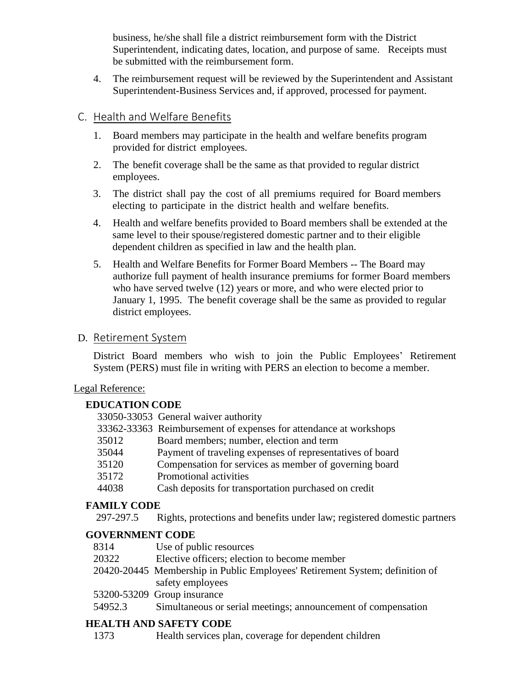business, he/she shall file a district reimbursement form with the District Superintendent, indicating dates, location, and purpose of same. Receipts must be submitted with the reimbursement form.

4. The reimbursement request will be reviewed by the Superintendent and Assistant Superintendent-Business Services and, if approved, processed for payment.

# C. Health and Welfare Benefits

- 1. Board members may participate in the health and welfare benefits program provided for district employees.
- 2. The benefit coverage shall be the same as that provided to regular district employees.
- 3. The district shall pay the cost of all premiums required for Board members electing to participate in the district health and welfare benefits.
- 4. Health and welfare benefits provided to Board members shall be extended at the same level to their spouse/registered domestic partner and to their eligible dependent children as specified in law and the health plan.
- 5. Health and Welfare Benefits for Former Board Members -- The Board may authorize full payment of health insurance premiums for former Board members who have served twelve (12) years or more, and who were elected prior to January 1, 1995. The benefit coverage shall be the same as provided to regular district employees.

# D. Retirement System

District Board members who wish to join the Public Employees' Retirement System (PERS) must file in writing with PERS an election to become a member.

# Legal Reference:

# **EDUCATION CODE**

|       | 33050-33053 General waiver authority                              |
|-------|-------------------------------------------------------------------|
|       | 33362-33363 Reimbursement of expenses for attendance at workshops |
| 35012 | Board members; number, election and term                          |
| 35044 | Payment of traveling expenses of representatives of board         |
| 35120 | Compensation for services as member of governing board            |
| 35172 | Promotional activities                                            |
| 44038 | Cash deposits for transportation purchased on credit              |
|       |                                                                   |

# **FAMILY CODE**

297-297.5 Rights, protections and benefits under law; registered domestic partners

# **GOVERNMENT CODE**

- 8314 Use of public resources
- 20322 Elective officers; election to become member
- 20420-20445 Membership in Public Employees' Retirement System; definition of safety employees
- 53200-53209 Group insurance
- 54952.3 Simultaneous or serial meetings; announcement of compensation

# **HEALTH AND SAFETY CODE**

1373 Health services plan, coverage for dependent children